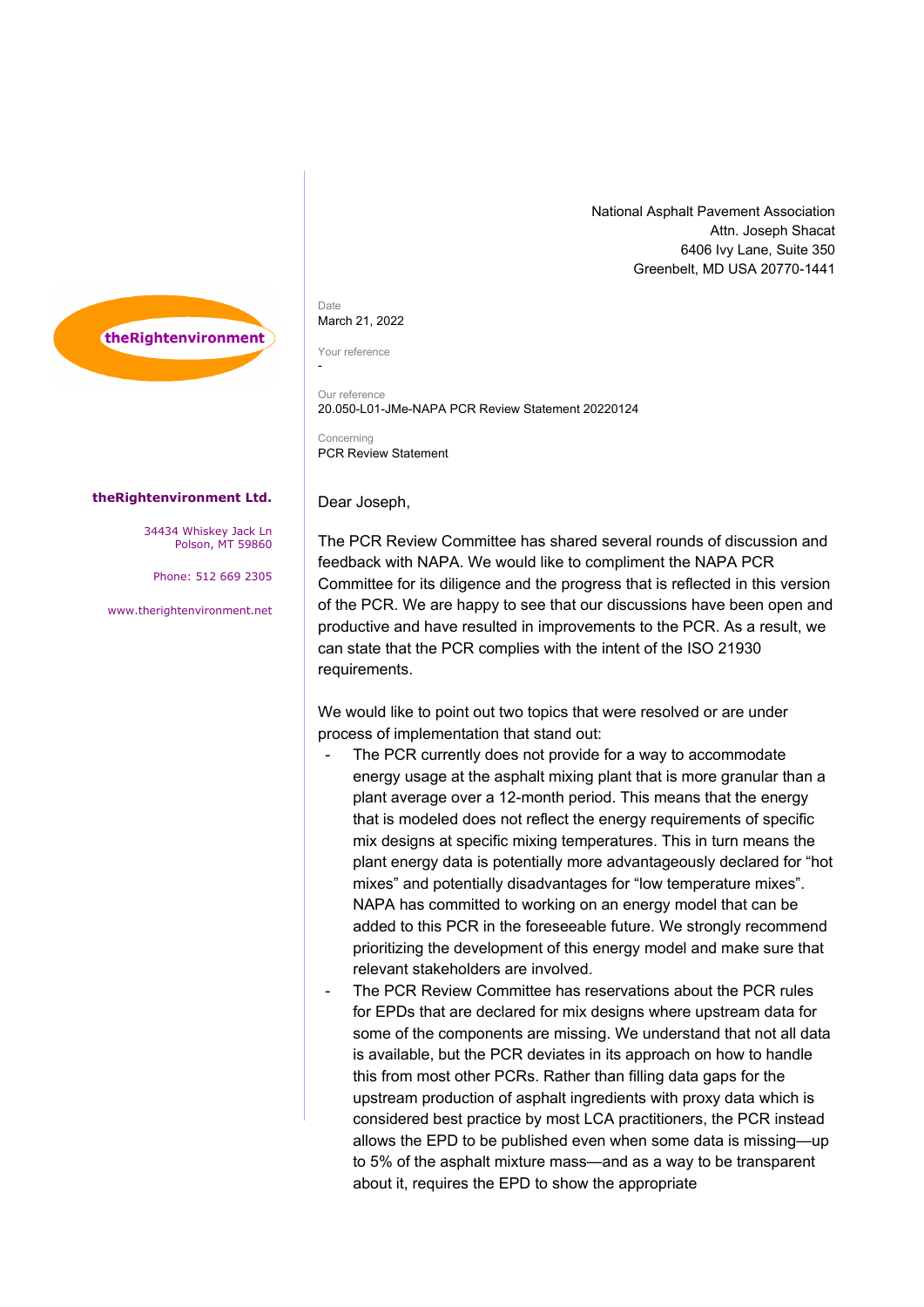

## Date March 21, 2022

Your reference

-

Our reference 20.050-L01-JMe-NAPA PCR Review Statement 20220124

**Concerning** PCR Review Statement

Dear Joseph,

## **theRightenvironment Ltd.**

34434 Whiskey Jack Ln Polson, MT 59860

Phone: 512 669 2305

[www.therightenvironment.net](http://www.therightenvironment.net/)

The PCR Review Committee has shared several rounds of discussion and feedback with NAPA. We would like to compliment the NAPA PCR Committee for its diligence and the progress that is reflected in this version of the PCR. We are happy to see that our discussions have been open and productive and have resulted in improvements to the PCR. As a result, we can state that the PCR complies with the intent of the ISO 21930 requirements.

We would like to point out two topics that were resolved or are under process of implementation that stand out:

- The PCR currently does not provide for a way to accommodate energy usage at the asphalt mixing plant that is more granular than a plant average over a 12-month period. This means that the energy that is modeled does not reflect the energy requirements of specific mix designs at specific mixing temperatures. This in turn means the plant energy data is potentially more advantageously declared for "hot mixes" and potentially disadvantages for "low temperature mixes". NAPA has committed to working on an energy model that can be added to this PCR in the foreseeable future. We strongly recommend prioritizing the development of this energy model and make sure that relevant stakeholders are involved.
- The PCR Review Committee has reservations about the PCR rules for EPDs that are declared for mix designs where upstream data for some of the components are missing. We understand that not all data is available, but the PCR deviates in its approach on how to handle this from most other PCRs. Rather than filling data gaps for the upstream production of asphalt ingredients with proxy data which is considered best practice by most LCA practitioners, the PCR instead allows the EPD to be published even when some data is missing—up to 5% of the asphalt mixture mass—and as a way to be transparent about it, requires the EPD to show the appropriate

National Asphalt Pavement Association Attn. Joseph Shacat 6406 Ivy Lane, Suite 350 Greenbelt, MD USA 20770-1441